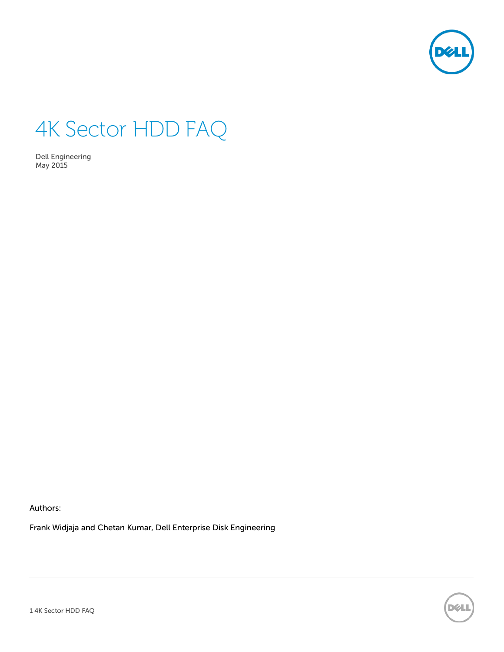

# 4K Sector HDD FAQ

Dell Engineering May 2015

Authors:

Frank Widjaja and Chetan Kumar, Dell Enterprise Disk Engineering

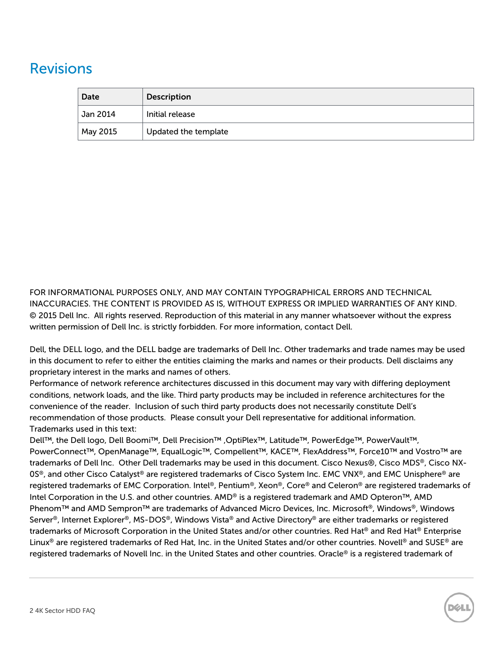# <span id="page-1-0"></span>Revisions

| Date                | <b>Description</b>   |  |
|---------------------|----------------------|--|
| $^{\circ}$ Jan 2014 | Initial release      |  |
| May 2015            | Updated the template |  |

FOR INFORMATIONAL PURPOSES ONLY, AND MAY CONTAIN TYPOGRAPHICAL ERRORS AND TECHNICAL INACCURACIES. THE CONTENT IS PROVIDED AS IS, WITHOUT EXPRESS OR IMPLIED WARRANTIES OF ANY KIND. © 2015 Dell Inc. All rights reserved. Reproduction of this material in any manner whatsoever without the express written permission of Dell Inc. is strictly forbidden. For more information, contact Dell.

Dell, the DELL logo, and the DELL badge are trademarks of Dell Inc. Other trademarks and trade names may be used in this document to refer to either the entities claiming the marks and names or their products. Dell disclaims any proprietary interest in the marks and names of others.

Performance of network reference architectures discussed in this document may vary with differing deployment conditions, network loads, and the like. Third party products may be included in reference architectures for the convenience of the reader. Inclusion of such third party products does not necessarily constitute Dell's recommendation of those products. Please consult your Dell representative for additional information. Trademarks used in this text:

Dell™, the Dell logo, Dell Boomi™, Dell Precision™ ,OptiPlex™, Latitude™, PowerEdge™, PowerVault™, PowerConnect™, OpenManage™, EqualLogic™, Compellent™, KACE™, FlexAddress™, Force10™ and Vostro™ are trademarks of Dell Inc. Other Dell trademarks may be used in this document. Cisco Nexus®, Cisco MDS®, Cisco NX-0S®, and other Cisco Catalyst® are registered trademarks of Cisco System Inc. EMC VNX®, and EMC Unisphere® are registered trademarks of EMC Corporation. Intel®, Pentium®, Xeon®, Core® and Celeron® are registered trademarks of Intel Corporation in the U.S. and other countries. AMD® is a registered trademark and AMD Opteron™, AMD Phenom™ and AMD Sempron™ are trademarks of Advanced Micro Devices, Inc. Microsoft®, Windows®, Windows Server®, Internet Explorer®, MS-DOS®, Windows Vista® and Active Directory® are either trademarks or registered trademarks of Microsoft Corporation in the United States and/or other countries. Red Hat® and Red Hat® Enterprise Linux® are registered trademarks of Red Hat, Inc. in the United States and/or other countries. Novell® and SUSE® are registered trademarks of Novell Inc. in the United States and other countries. Oracle® is a registered trademark of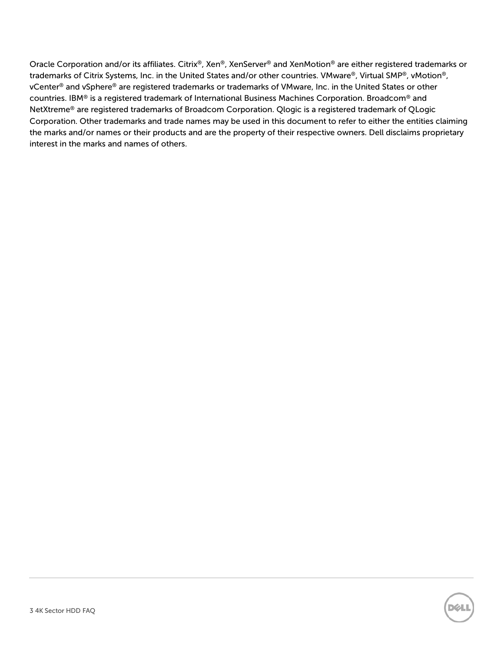Oracle Corporation and/or its affiliates. Citrix®, Xen®, XenServer® and XenMotion® are either registered trademarks or trademarks of Citrix Systems, Inc. in the United States and/or other countries. VMware®, Virtual SMP®, vMotion®, vCenter® and vSphere® are registered trademarks or trademarks of VMware, Inc. in the United States or other countries. IBM® is a registered trademark of International Business Machines Corporation. Broadcom® and NetXtreme® are registered trademarks of Broadcom Corporation. Qlogic is a registered trademark of QLogic Corporation. Other trademarks and trade names may be used in this document to refer to either the entities claiming the marks and/or names or their products and are the property of their respective owners. Dell disclaims proprietary interest in the marks and names of others.

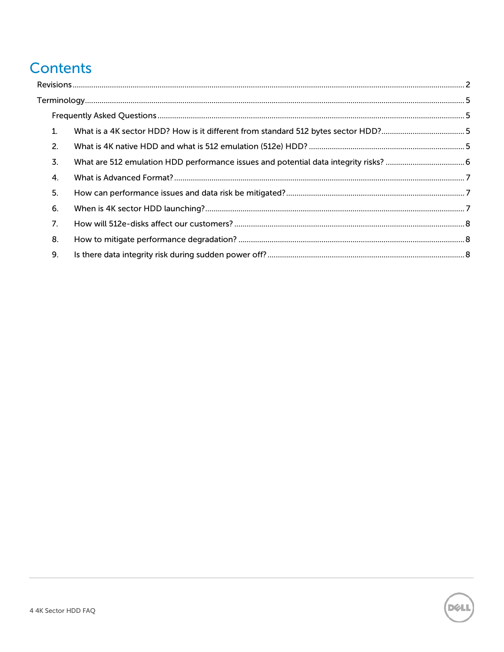# **Contents**

|  | $\mathbf{1}$   |  |  |  |  |
|--|----------------|--|--|--|--|
|  | 2.             |  |  |  |  |
|  | 3.             |  |  |  |  |
|  | 4.             |  |  |  |  |
|  | 5.             |  |  |  |  |
|  | 6.             |  |  |  |  |
|  | 7 <sub>1</sub> |  |  |  |  |
|  | 8.             |  |  |  |  |
|  | 9.             |  |  |  |  |

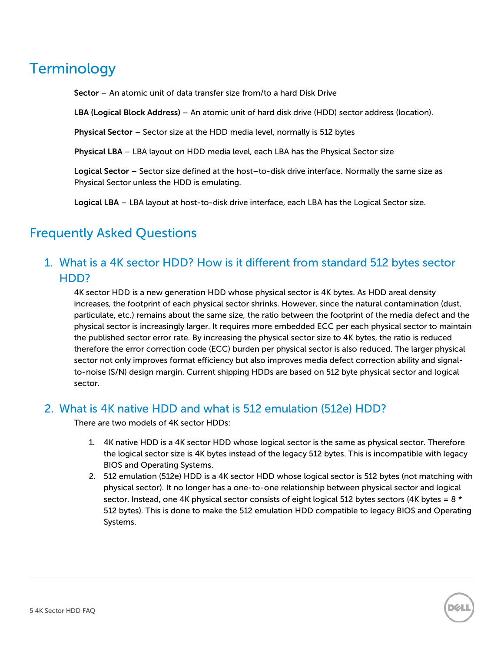# <span id="page-4-0"></span>**Terminology**

**Sector** – An atomic unit of data transfer size from/to a hard Disk Drive

**LBA (Logical Block Address)** – An atomic unit of hard disk drive (HDD) sector address (location).

**Physical Sector** – Sector size at the HDD media level, normally is 512 bytes

**Physical LBA** – LBA layout on HDD media level, each LBA has the Physical Sector size

**Logical Sector** – Sector size defined at the host–to-disk drive interface. Normally the same size as Physical Sector unless the HDD is emulating.

**Logical LBA** – LBA layout at host-to-disk drive interface, each LBA has the Logical Sector size.

# <span id="page-4-2"></span><span id="page-4-1"></span>Frequently Asked Questions

# 1. What is a 4K sector HDD? How is it different from standard 512 bytes sector HDD?

4K sector HDD is a new generation HDD whose physical sector is 4K bytes. As HDD areal density increases, the footprint of each physical sector shrinks. However, since the natural contamination (dust, particulate, etc.) remains about the same size, the ratio between the footprint of the media defect and the physical sector is increasingly larger. It requires more embedded ECC per each physical sector to maintain the published sector error rate. By increasing the physical sector size to 4K bytes, the ratio is reduced therefore the error correction code (ECC) burden per physical sector is also reduced. The larger physical sector not only improves format efficiency but also improves media defect correction ability and signalto-noise (S/N) design margin. Current shipping HDDs are based on 512 byte physical sector and logical sector.

#### <span id="page-4-3"></span>2. What is 4K native HDD and what is 512 emulation (512e) HDD?

There are two models of 4K sector HDDs:

- 1. 4K native HDD is a 4K sector HDD whose logical sector is the same as physical sector. Therefore the logical sector size is 4K bytes instead of the legacy 512 bytes. This is incompatible with legacy BIOS and Operating Systems.
- 2. 512 emulation (512e) HDD is a 4K sector HDD whose logical sector is 512 bytes (not matching with physical sector). It no longer has a one-to-one relationship between physical sector and logical sector. Instead, one 4K physical sector consists of eight logical 512 bytes sectors (4K bytes =  $8 *$ 512 bytes). This is done to make the 512 emulation HDD compatible to legacy BIOS and Operating Systems.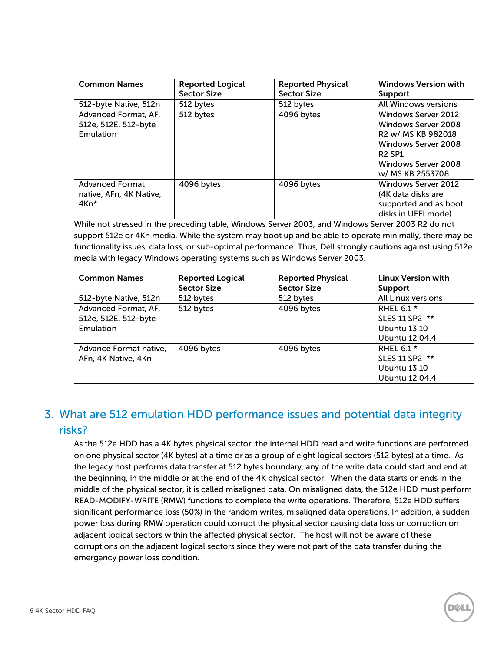| <b>Common Names</b>                                       | <b>Reported Logical</b><br><b>Sector Size</b> | <b>Reported Physical</b><br><b>Sector Size</b> | <b>Windows Version with</b><br><b>Support</b>                                                                                                       |
|-----------------------------------------------------------|-----------------------------------------------|------------------------------------------------|-----------------------------------------------------------------------------------------------------------------------------------------------------|
| 512-byte Native, 512n                                     | 512 bytes                                     | 512 bytes                                      | All Windows versions                                                                                                                                |
| Advanced Format, AF,<br>512e, 512E, 512-byte<br>Emulation | 512 bytes                                     | 4096 bytes                                     | Windows Server 2012<br>Windows Server 2008<br>R2 w/ MS KB 982018<br>Windows Server 2008<br><b>R2 SP1</b><br>Windows Server 2008<br>w/ MS KB 2553708 |
| <b>Advanced Format</b><br>native, AFn, 4K Native,<br>4Kn* | 4096 bytes                                    | 4096 bytes                                     | <b>Windows Server 2012</b><br>(4K data disks are<br>supported and as boot<br>disks in UEFI mode)                                                    |

While not stressed in the preceding table, Windows Server 2003, and Windows Server 2003 R2 do not support 512e or 4Kn media. While the system may boot up and be able to operate minimally, there may be functionality issues, data loss, or sub-optimal performance. Thus, Dell strongly cautions against using 512e media with legacy Windows operating systems such as Windows Server 2003.

| <b>Common Names</b>    | <b>Reported Logical</b> | <b>Reported Physical</b> | <b>Linux Version with</b> |
|------------------------|-------------------------|--------------------------|---------------------------|
|                        | <b>Sector Size</b>      | <b>Sector Size</b>       | Support                   |
| 512-byte Native, 512n  | 512 bytes               | 512 bytes                | All Linux versions        |
| Advanced Format, AF,   | 512 bytes               | 4096 bytes               | RHEL 6.1 *                |
| 512e, 512E, 512-byte   |                         |                          | SLES 11 SP2 **            |
| Emulation              |                         |                          | Ubuntu 13.10              |
|                        |                         |                          | Ubuntu 12.04.4            |
| Advance Format native, | 4096 bytes              | 4096 bytes               | RHEL $6.1*$               |
| AFn, 4K Native, 4Kn    |                         |                          | SLES 11 SP2 **            |
|                        |                         |                          | Ubuntu 13.10              |
|                        |                         |                          | Ubuntu 12.04.4            |

# <span id="page-5-0"></span>3. What are 512 emulation HDD performance issues and potential data integrity risks?

As the 512e HDD has a 4K bytes physical sector, the internal HDD read and write functions are performed on one physical sector (4K bytes) at a time or as a group of eight logical sectors (512 bytes) at a time. As the legacy host performs data transfer at 512 bytes boundary, any of the write data could start and end at the beginning, in the middle or at the end of the 4K physical sector. When the data starts or ends in the middle of the physical sector, it is called misaligned data. On misaligned data, the 512e HDD must perform READ-MODIFY-WRITE (RMW) functions to complete the write operations. Therefore, 512e HDD suffers significant performance loss (50%) in the random writes, misaligned data operations. In addition, a sudden power loss during RMW operation could corrupt the physical sector causing data loss or corruption on adjacent logical sectors within the affected physical sector. The host will not be aware of these corruptions on the adjacent logical sectors since they were not part of the data transfer during the emergency power loss condition.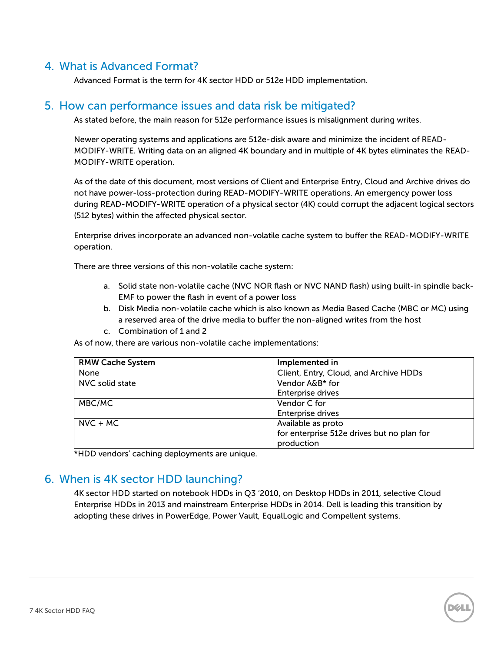## <span id="page-6-0"></span>4. What is Advanced Format?

Advanced Format is the term for 4K sector HDD or 512e HDD implementation.

#### <span id="page-6-1"></span>5. How can performance issues and data risk be mitigated?

As stated before, the main reason for 512e performance issues is misalignment during writes.

Newer operating systems and applications are 512e-disk aware and minimize the incident of READ-MODIFY-WRITE. Writing data on an aligned 4K boundary and in multiple of 4K bytes eliminates the READ-MODIFY-WRITE operation.

As of the date of this document, most versions of Client and Enterprise Entry, Cloud and Archive drives do not have power-loss-protection during READ-MODIFY-WRITE operations. An emergency power loss during READ-MODIFY-WRITE operation of a physical sector (4K) could corrupt the adjacent logical sectors (512 bytes) within the affected physical sector.

Enterprise drives incorporate an advanced non-volatile cache system to buffer the READ-MODIFY-WRITE operation.

There are three versions of this non-volatile cache system:

- a. Solid state non-volatile cache (NVC NOR flash or NVC NAND flash) using built-in spindle back-EMF to power the flash in event of a power loss
- b. Disk Media non-volatile cache which is also known as Media Based Cache (MBC or MC) using a reserved area of the drive media to buffer the non-aligned writes from the host
- c. Combination of 1 and 2

As of now, there are various non-volatile cache implementations:

| <b>RMW Cache System</b> | Implemented in                             |
|-------------------------|--------------------------------------------|
| None                    | Client, Entry, Cloud, and Archive HDDs     |
| NVC solid state         | Vendor A&B* for                            |
|                         | <b>Enterprise drives</b>                   |
| MBC/MC                  | Vendor C for                               |
|                         | <b>Enterprise drives</b>                   |
| $NVC + MC$              | Available as proto                         |
|                         | for enterprise 512e drives but no plan for |
|                         | production                                 |

\*HDD vendors' caching deployments are unique.

## <span id="page-6-2"></span>6. When is 4K sector HDD launching?

4K sector HDD started on notebook HDDs in Q3 '2010, on Desktop HDDs in 2011, selective Cloud Enterprise HDDs in 2013 and mainstream Enterprise HDDs in 2014. Dell is leading this transition by adopting these drives in PowerEdge, Power Vault, EqualLogic and Compellent systems.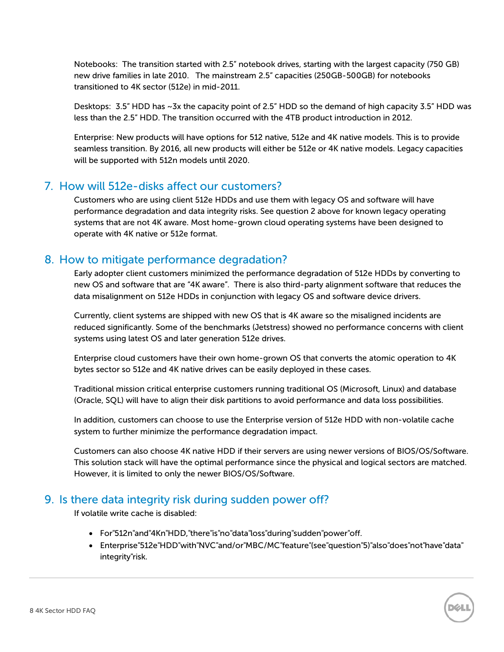Notebooks: The transition started with 2.5" notebook drives, starting with the largest capacity (750 GB) new drive families in late 2010. The mainstream 2.5" capacities (250GB-500GB) for notebooks transitioned to 4K sector (512e) in mid-2011.

Desktops: 3.5" HDD has ~3x the capacity point of 2.5" HDD so the demand of high capacity 3.5" HDD was less than the 2.5" HDD. The transition occurred with the 4TB product introduction in 2012.

Enterprise: New products will have options for 512 native, 512e and 4K native models. This is to provide seamless transition. By 2016, all new products will either be 512e or 4K native models. Legacy capacities will be supported with 512n models until 2020.

## <span id="page-7-0"></span>7. How will 512e-disks affect our customers?

Customers who are using client 512e HDDs and use them with legacy OS and software will have performance degradation and data integrity risks. See question 2 above for known legacy operating systems that are not 4K aware. Most home-grown cloud operating systems have been designed to operate with 4K native or 512e format.

## <span id="page-7-1"></span>8. How to mitigate performance degradation?

Early adopter client customers minimized the performance degradation of 512e HDDs by converting to new OS and software that are "4K aware". There is also third-party alignment software that reduces the data misalignment on 512e HDDs in conjunction with legacy OS and software device drivers.

Currently, client systems are shipped with new OS that is 4K aware so the misaligned incidents are reduced significantly. Some of the benchmarks (Jetstress) showed no performance concerns with client systems using latest OS and later generation 512e drives.

Enterprise cloud customers have their own home-grown OS that converts the atomic operation to 4K bytes sector so 512e and 4K native drives can be easily deployed in these cases.

Traditional mission critical enterprise customers running traditional OS (Microsoft, Linux) and database (Oracle, SQL) will have to align their disk partitions to avoid performance and data loss possibilities.

In addition, customers can choose to use the Enterprise version of 512e HDD with non-volatile cache system to further minimize the performance degradation impact.

Customers can also choose 4K native HDD if their servers are using newer versions of BIOS/OS/Software. This solution stack will have the optimal performance since the physical and logical sectors are matched. However, it is limited to only the newer BIOS/OS/Software.

## <span id="page-7-2"></span>9. Is there data integrity risk during sudden power off?

If volatile write cache is disabled:

- For"512n"and"4Kn"HDD,"there"is"no"data"loss"during"sudden"power"off.
- Enterprise"512e"HDD"with"NVC"and/or"MBC/MC"feature"(see"question"5)"also"does"not"have"data" integrity"risk.